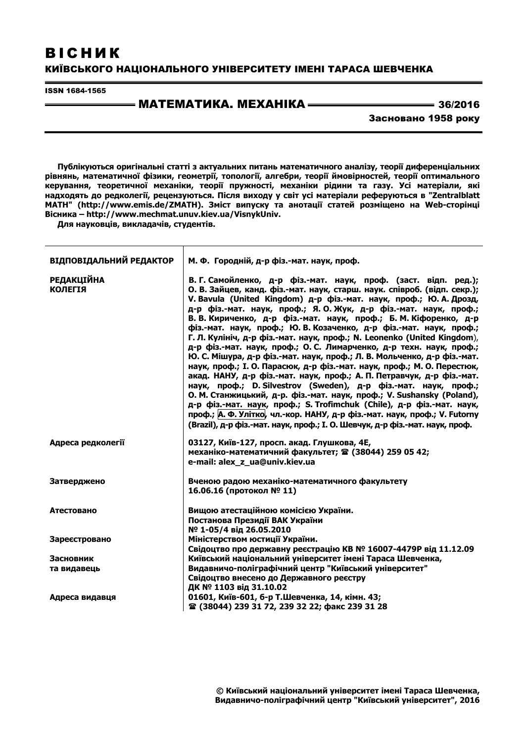# ВІСНИК КИЇВСЬКОГО НАЦІОНАЛЬНОГО УНІВЕРСИТЕТУ ІМЕНІ ТАРАСА ШЕВЧЕНКА

ISSN 1684-1565

# <u>—— МАТЕМАТИКА. МЕХАНІКА ———————————</u> 36/2016

Засновано 1958 року

**Публікуються оригінальні статті з актуальних питань математичного аналізу, теорії диференціальних рівнянь, математичної фізики, геометрії, топології, алгебри, теорії ймовірностей, теорії оптимального керування, теоретичної механіки, теорії пружності, механіки рідини та газу. Усі матеріали, які надходять до редколегії, рецензуються. Після виходу у світ усі матеріали реферуються в "Zentralblatt MATH" (http://www.emis.de/ZMATH). Зміст випуску та анотації статей розміщено на Web-сторінці Вісника – http://www.mechmat.unuv.kiev.ua/VisnykUniv.** 

**Для науковців, викладачів, студентів.** 

 $\top$ 

| ВІДПОВІДАЛЬНИЙ РЕДАКТОР             | М. Ф. Городній, д-р фіз.-мат. наук, проф.                                                                                                                                                                                                                                                                                                                                                                                                                                                                                                                                                                                                                                                                                                                                                                                                                                                                                                                                                                                                                                                                                                                                                         |  |  |
|-------------------------------------|---------------------------------------------------------------------------------------------------------------------------------------------------------------------------------------------------------------------------------------------------------------------------------------------------------------------------------------------------------------------------------------------------------------------------------------------------------------------------------------------------------------------------------------------------------------------------------------------------------------------------------------------------------------------------------------------------------------------------------------------------------------------------------------------------------------------------------------------------------------------------------------------------------------------------------------------------------------------------------------------------------------------------------------------------------------------------------------------------------------------------------------------------------------------------------------------------|--|--|
| <b>РЕДАКЦІЙНА</b><br><b>КОЛЕГІЯ</b> | В. Г. Самойленко, д-р фіз.-мат. наук, проф. (заст. відп. ред.);<br>О. В. Зайцев, канд. фіз.-мат. наук, старш. наук. співроб. (відп. секр.);<br>V. Bavula (United Kingdom) д-р фіз.-мат. наук, проф.; Ю. А. Дрозд,<br>д-р фіз.-мат. наук, проф.; Я. О. Жук, д-р фіз.-мат. наук, проф.;<br>В. В. Кириченко, д-р фіз.-мат. наук, проф.; Б. М. Кіфоренко, д-р<br>фіз.-мат. наук, проф.; Ю. В. Козаченко, д-р фіз.-мат. наук, проф.;<br>Г. Л. Кулініч, д-р фіз.-мат. наук, проф.; N. Leonenko (United Kingdom),<br>д-р фіз.-мат. наук, проф.; О. С. Лимарченко, д-р техн. наук, проф.;<br>Ю. С. Мішура, д-р фіз.-мат. наук, проф.; Л. В. Мольченко, д-р фіз.-мат.<br>наук, проф.; І. О. Парасюк, д-р фіз.-мат. наук, проф.; М. О. Перестюк,<br>акад. НАНУ, д-р фіз.-мат. наук, проф.; А. П. Петравчук, д-р фіз.-мат.<br>наук, проф.; D. Silvestrov (Sweden), д-р фіз.-мат. наук, проф.;<br>О. М. Станжицький, д-р. фіз.-мат. наук, проф.; V. Sushansky (Poland),<br>д-р фіз.-мат. наук, проф.; S. Trofimchuk (Chile), д-р фіз.-мат. наук,<br>проф.; А. Ф. Улітко, чл.-кор. НАНУ, д-р фіз.-мат. наук, проф.; V. Futorny<br>(Brazil), д-р фіз.-мат. наук, проф.; І. О. Шевчук, д-р фіз.-мат. наук, проф. |  |  |
| Адреса редколегії                   | 03127, Київ-127, просп. акад. Глушкова, 4Е,<br>механіко-математичний факультет; • (38044) 259 05 42;<br>e-mail: alex z ua@univ.kiev.ua                                                                                                                                                                                                                                                                                                                                                                                                                                                                                                                                                                                                                                                                                                                                                                                                                                                                                                                                                                                                                                                            |  |  |
| Затверджено                         | Вченою радою механіко-математичного факультету<br>16.06.16 (протокол № 11)                                                                                                                                                                                                                                                                                                                                                                                                                                                                                                                                                                                                                                                                                                                                                                                                                                                                                                                                                                                                                                                                                                                        |  |  |
| Атестовано                          | Вищою атестаційною комісією України.<br>Постанова Президії ВАК України<br>№ 1-05/4 від 26.05.2010                                                                                                                                                                                                                                                                                                                                                                                                                                                                                                                                                                                                                                                                                                                                                                                                                                                                                                                                                                                                                                                                                                 |  |  |
| Зареєстровано                       | Міністерством юстиції України.<br>Свідоцтво про державну реєстрацію КВ № 16007-4479Р від 11.12.09                                                                                                                                                                                                                                                                                                                                                                                                                                                                                                                                                                                                                                                                                                                                                                                                                                                                                                                                                                                                                                                                                                 |  |  |
| Засновник                           | Київський національний університет імені Тараса Шевченка,                                                                                                                                                                                                                                                                                                                                                                                                                                                                                                                                                                                                                                                                                                                                                                                                                                                                                                                                                                                                                                                                                                                                         |  |  |
| та видавець                         | Видавничо-поліграфічний центр "Київський університет"<br>Свідоцтво внесено до Державного реєстру<br>ДК № 1103 від 31.10.02                                                                                                                                                                                                                                                                                                                                                                                                                                                                                                                                                                                                                                                                                                                                                                                                                                                                                                                                                                                                                                                                        |  |  |
| Адреса видавця                      | 01601, Київ-601, 6-р Т.Шевченка, 14, кімн. 43;<br><b>☎ (38044) 239 31 72, 239 32 22; факс 239 31 28</b>                                                                                                                                                                                                                                                                                                                                                                                                                                                                                                                                                                                                                                                                                                                                                                                                                                                                                                                                                                                                                                                                                           |  |  |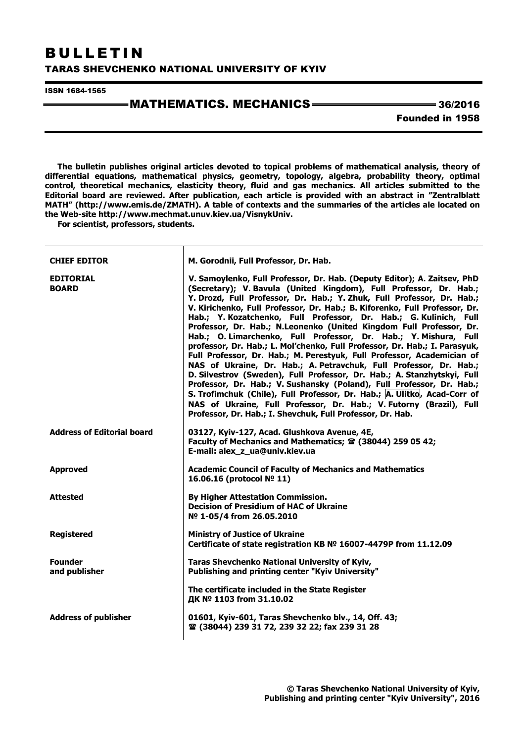# BULLETIN

### TARAS SHEVCHENKO NATIONAL UNIVERSITY OF KYIV

ISSN 1684-1565

# $-MATHEMATICS. MECHANICS$   $\longrightarrow$  36/2016

Founded in 1958

**The bulletin publishes original articles devoted to topical problems of mathematical analysis, theory of differential equations, mathematical physics, geometry, topology, algebra, probability theory, optimal control, theoretical mechanics, elasticity theory, fluid and gas mechanics. All articles submitted to the Editorial board are reviewed. After publication, each article is provided with an abstract in "Zentralblatt MATH" (http://www.emis.de/ZMATH). A table of contexts and the summaries of the articles ale located on the Web-site http://www.mechmat.unuv.kiev.ua/VisnykUniv.** 

**For scientist, professors, students.** 

| <b>CHIEF EDITOR</b>               | M. Gorodnii, Full Professor, Dr. Hab.                                                                                                                                                                                                                                                                                                                                                                                                                                                                                                                                                                                                                                                                                                                                                                                                                                                                                                                                                                                                                                                                                     |
|-----------------------------------|---------------------------------------------------------------------------------------------------------------------------------------------------------------------------------------------------------------------------------------------------------------------------------------------------------------------------------------------------------------------------------------------------------------------------------------------------------------------------------------------------------------------------------------------------------------------------------------------------------------------------------------------------------------------------------------------------------------------------------------------------------------------------------------------------------------------------------------------------------------------------------------------------------------------------------------------------------------------------------------------------------------------------------------------------------------------------------------------------------------------------|
| <b>EDITORIAL</b><br><b>BOARD</b>  | V. Samoylenko, Full Professor, Dr. Hab. (Deputy Editor); A. Zaitsev, PhD<br>(Secretary); V. Bavula (United Kingdom), Full Professor, Dr. Hab.;<br>Y. Drozd, Full Professor, Dr. Hab.; Y. Zhuk, Full Professor, Dr. Hab.;<br>V. Kirichenko, Full Professor, Dr. Hab.; B. Kiforenko, Full Professor, Dr.<br>Hab.; Y. Kozatchenko, Full Professor, Dr. Hab.; G. Kulinich, Full<br>Professor, Dr. Hab.; N.Leonenko (United Kingdom Full Professor, Dr.<br>Hab.; O. Limarchenko, Full Professor, Dr. Hab.; Y. Mishura, Full<br>professor, Dr. Hab.; L. Mol'chenko, Full Professor, Dr. Hab.; I. Parasyuk,<br>Full Professor, Dr. Hab.; M. Perestyuk, Full Professor, Academician of<br>NAS of Ukraine, Dr. Hab.; A. Petravchuk, Full Professor, Dr. Hab.;<br>D. Silvestrov (Sweden), Full Professor, Dr. Hab.; A. Stanzhytskyi, Full<br>Professor, Dr. Hab.; V. Sushansky (Poland), Full Professor, Dr. Hab.;<br>S. Trofimchuk (Chile), Full Professor, Dr. Hab.; A. Ulitko, Acad-Corr of<br>NAS of Ukraine, Full Professor, Dr. Hab.; V. Futorny (Brazil), Full<br>Professor, Dr. Hab.; I. Shevchuk, Full Professor, Dr. Hab. |
| <b>Address of Editorial board</b> | 03127, Kyiv-127, Acad. Glushkova Avenue, 4E,<br>Faculty of Mechanics and Mathematics; $\mathbf{\mathfrak{D}}$ (38044) 259 05 42;<br>E-mail: alex_z_ua@univ.kiev.ua                                                                                                                                                                                                                                                                                                                                                                                                                                                                                                                                                                                                                                                                                                                                                                                                                                                                                                                                                        |
| <b>Approved</b>                   | <b>Academic Council of Faculty of Mechanics and Mathematics</b><br>16.06.16 (protocol № 11)                                                                                                                                                                                                                                                                                                                                                                                                                                                                                                                                                                                                                                                                                                                                                                                                                                                                                                                                                                                                                               |
| <b>Attested</b>                   | <b>By Higher Attestation Commission.</b><br><b>Decision of Presidium of HAC of Ukraine</b><br>Nº 1-05/4 from 26.05.2010                                                                                                                                                                                                                                                                                                                                                                                                                                                                                                                                                                                                                                                                                                                                                                                                                                                                                                                                                                                                   |
| <b>Registered</b>                 | <b>Ministry of Justice of Ukraine</b><br>Certificate of state registration KB Nº 16007-4479P from 11.12.09                                                                                                                                                                                                                                                                                                                                                                                                                                                                                                                                                                                                                                                                                                                                                                                                                                                                                                                                                                                                                |
| <b>Founder</b><br>and publisher   | Taras Shevchenko National University of Kyiv,<br>Publishing and printing center "Kyiv University"                                                                                                                                                                                                                                                                                                                                                                                                                                                                                                                                                                                                                                                                                                                                                                                                                                                                                                                                                                                                                         |
|                                   | The certificate included in the State Register<br>ДК № 1103 from 31.10.02                                                                                                                                                                                                                                                                                                                                                                                                                                                                                                                                                                                                                                                                                                                                                                                                                                                                                                                                                                                                                                                 |
| <b>Address of publisher</b>       | 01601, Kyiv-601, Taras Shevchenko blv., 14, Off. 43;<br>雪 (38044) 239 31 72, 239 32 22; fax 239 31 28                                                                                                                                                                                                                                                                                                                                                                                                                                                                                                                                                                                                                                                                                                                                                                                                                                                                                                                                                                                                                     |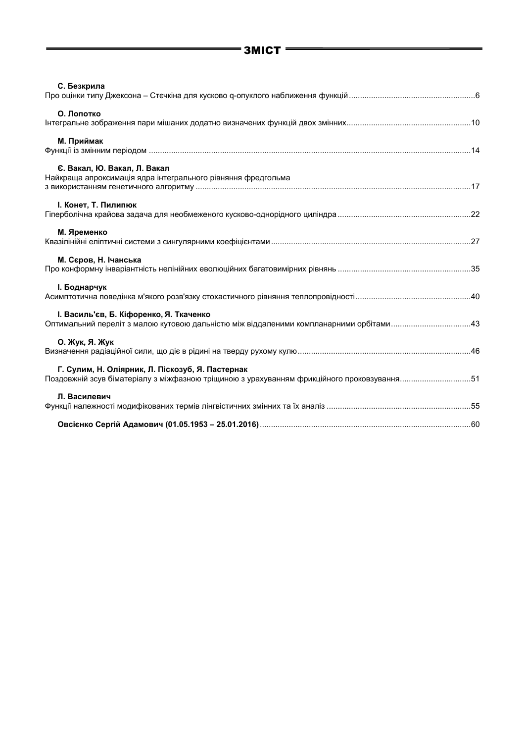| С. Безкрила                                                                                                                                    |  |
|------------------------------------------------------------------------------------------------------------------------------------------------|--|
| О. Лопотко                                                                                                                                     |  |
| М. Приймак                                                                                                                                     |  |
| Є. Вакал, Ю. Вакал, Л. Вакал<br>Найкраща апроксимація ядра інтегрального рівняння фредгольма                                                   |  |
| I. Конет, Т. Пилипюк                                                                                                                           |  |
| М. Яременко                                                                                                                                    |  |
| М. Сєров, Н. Ічанська                                                                                                                          |  |
| <b>І. Боднарчук</b>                                                                                                                            |  |
| І. Василь'єв, Б. Кіфоренко, Я. Ткаченко<br>Оптимальний переліт з малою кутовою дальністю між віддаленими компланарними орбітами43              |  |
| О. Жук, Я. Жук                                                                                                                                 |  |
| Г. Сулим, Н. Оліярник, Л. Піскозуб, Я. Пастернак<br>Поздовжній зсув біматеріалу з міжфазною тріщиною з урахуванням фрикційного проковзування51 |  |
| Л. Василевич                                                                                                                                   |  |
|                                                                                                                                                |  |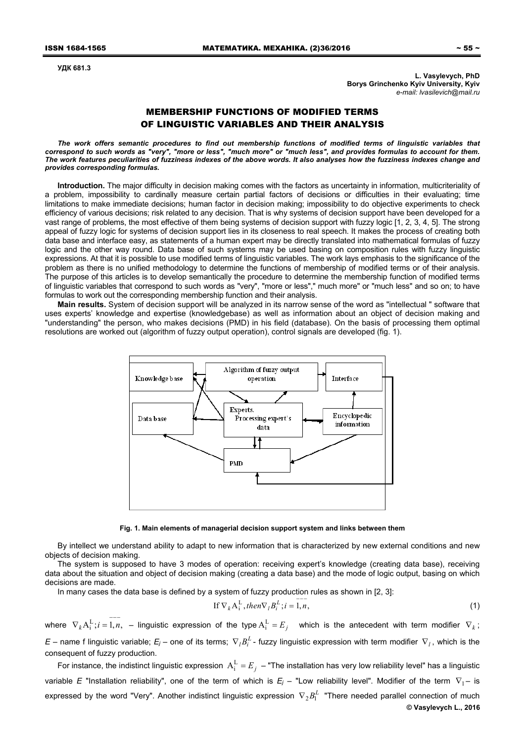**УДК 681.3** 

**L. Vasylevych, PhD Borys Grinchenko Kyiv University, Kyiv**  *е-mail: lvasilevich@mail.ru* 

## MEMBERSHIP FUNCTIONS OF MODIFIED TERMS OF LINGUISTIC VARIABLES AND THEIR ANALYSIS

The work offers semantic procedures to find out membership functions of modified terms of linguistic variables that *correspond to such words as "very", "more or less", "much more" or "much less", and provides formulas to account for them. The work features peculiarities of fuzziness indexes of the above words. It also analyses how the fuzziness indexes change and provides corresponding formulas.* 

**Introduction.** The major difficulty in decision making comes with the factors as uncertainty in information, multicriteriality of a problem, impossibility to cardinally measure certain partial factors of decisions or difficulties in their evaluating; time limitations to make immediate decisions; human factor in decision making; impossibility to do objective experiments to check efficiency of various decisions; risk related to any decision. That is why systems of decision support have been developed for a vast range of problems, the most effective of them being systems of decision support with fuzzy logic [1, 2, 3, 4, 5]. The strong appeal of fuzzy logic for systems of decision support lies in its closeness to real speech. It makes the process of creating both data base and interface easy, as statements of a human expert may be directly translated into mathematical formulas of fuzzy logic and the other way round. Data base of such systems may be used basing on composition rules with fuzzy linguistic expressions. At that it is possible to use modified terms of linguistic variables. The work lays emphasis to the significance of the problem as there is no unified methodology to determine the functions of membership of modified terms or of their analysis. The purpose of this articles is to develop semantically the procedure to determine the membership function of modified terms of linguistic variables that correspond to such words as "very", "more or less"," much more" or "much less" and so on; to have formulas to work out the corresponding membership function and their analysis.

**Main results.** System of decision support will be analyzed in its narrow sense of the word as "intellectual " software that uses experts' knowledge and expertise (knowledgebase) as well as information about an object of decision making and "understanding" the person, who makes decisions (PMD) in his field (database). On the basis of processing them optimal resolutions are worked out (algorithm of fuzzy output operation), control signals are developed (fig. 1).



**Fig. 1. Main elements of managerial decision support system and links between them** 

By intellect we understand ability to adapt to new information that is characterized by new external conditions and new objects of decision making.

The system is supposed to have 3 modes of operation: receiving expert's knowledge (creating data base), receiving data about the situation and object of decision making (creating a data base) and the mode of logic output, basing on which decisions are made.

In many cases the data base is defined by a system of fuzzy production rules as shown in [2, 3]:

$$
\text{If } \nabla_k \mathbf{A}_i^{\text{L}}, \text{ then } \nabla_l B_i^{\text{L}}; i = \overline{1, n}, \tag{1}
$$

where  $\nabla_k A_i^L; i = 1, n$ , – linguistic expression of the type  $A_i^L = E_j$  which is the antecedent with term modifier  $\nabla_k$ ; *E* – name f linguistic variable;  $E_j$  – one of its terms;  $\nabla_j B_j^L$  - fuzzy linguistic expression with term modifier  $\nabla_j$ , which is the consequent of fuzzy production.

For instance, the indistinct linguistic expression  $A_i^L = E_j -$  "The installation has very low reliability level" has a linguistic variable *E* "Installation reliability", one of the term of which is  $E_i$  – "Low reliability level". Modifier of the term  $\nabla_1$ – is expressed by the word "Very". Another indistinct linguistic expression  $\,\nabla_2 B^L_1\,$  "There needed parallel connection of much **© Vasylevych L., 2016**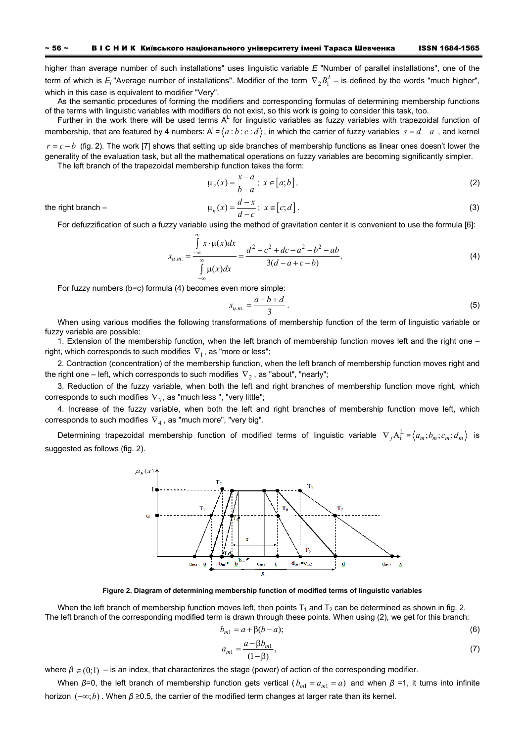higher than average number of such installations" uses linguistic variable *E* "Number of parallel installations", one of the term of which is  $E_j$  "Average number of installations". Modifier of the term  $\,\nabla_2 B^L_1$  – is defined by the words "much higher", which in this case is equivalent to modifier "Very".

As the semantic procedures of forming the modifiers and corresponding formulas of determining membership functions of the terms with linguistic variables with modifiers do not exist, so this work is going to consider this task, too.

Further in the work there will be used terms  $A^L$  for linguistic variables as fuzzy variables with trapezoidal function of membership, that are featured by 4 numbers: A<sup>L</sup>=  $\langle a:b:c:d\rangle$ , in which the carrier of fuzzy variables  $\,s=d-a\,$  , and kernel

 $r = c - b$  (fig. 2). The work [7] shows that setting up side branches of membership functions as linear ones doesn't lower the generality of the evaluation task, but all the mathematical operations on fuzzy variables are becoming significantly simpler. The left branch of the trapezoidal membership function takes the form:

$$
\mu_{\scriptscriptstyle \pi}(x) = \frac{x - a}{b - a}; \ x \in [a; b], \tag{2}
$$

 $\mu_n(x) = \frac{d-x}{d-c}$ ;  $x \in [c;d]$ . (3)

the right branch –

For defuzzification of such a fuzzy variable using the method of gravitation center it is convenient to use the formula [6]:

$$
x_{u,m.} = \frac{\int_{-\infty}^{\infty} x \cdot \mu(x) dx}{\int_{-\infty}^{\infty} \mu(x) dx} = \frac{d^2 + c^2 + dc - a^2 - b^2 - ab}{3(d - a + c - b)}.
$$
 (4)

For fuzzy numbers (b=c) formula (4) becomes even more simple:

$$
x_{u,m.} = \frac{a+b+d}{3} \,. \tag{5}
$$

When using various modifies the following transformations of membership function of the term of linguistic variable or fuzzy variable are possible:

1. Extension of the membership function, when the left branch of membership function moves left and the right one – right, which corresponds to such modifies  $\nabla_1$ , as "more or less";

2. Contraction (concentration) of the membership function, when the left branch of membership function moves right and the right one – left, which corresponds to such modifies  $\nabla$ <sub>2</sub>, as "about", "nearly";

3. Reduction of the fuzzy variable, when both the left and right branches of membership function move right, which corresponds to such modifies  $\nabla_3$ , as "much less ", "very little";

4. Increase of the fuzzy variable, when both the left and right branches of membership function move left, which corresponds to such modifies  $\nabla_A$ , as "much more", "very big".

Determining trapezoidal membership function of modified terms of linguistic variable  $\nabla_j A_i^L = \langle a_m; b_m; c_m; d_m \rangle$  is suggested as follows (fig. 2).



**Figure 2. Diagram of determining membership function of modified terms of linguistic variables** 

When the left branch of membership function moves left, then points  $T_1$  and  $T_2$  can be determined as shown in fig. 2. The left branch of the corresponding modified term is drawn through these points. When using (2), we get for this branch:

$$
b_{m1} = a + \beta(b - a); \tag{6}
$$

$$
a_{m1} = \frac{a - \beta b_{m1}}{(1 - \beta)},
$$
\n(7)

where  $\beta \in (0,1)$  – is an index, that characterizes the stage (power) of action of the corresponding modifier.

When  $\beta$ =0, the left branch of membership function gets vertical ( $b_{m1} = a_{m1} = a$ ) and when  $\beta$  =1, it turns into infinite horizon ( $-\infty$ ; *b*). When *β* ≥0.5, the carrier of the modified term changes at larger rate than its kernel.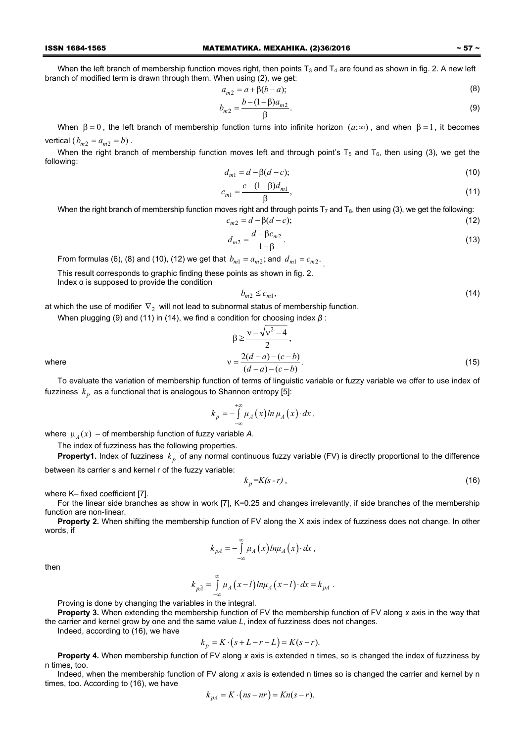#### ISSN 1684-1565 МАТЕМАТИКА. МЕХАНІКА. (2)36/2016 ~ 57 ~

When the left branch of membership function moves right, then points  $T_3$  and  $T_4$  are found as shown in fig. 2. A new left branch of modified term is drawn through them. When using (2), we get:

$$
a_{m2} = a + \beta(b - a); \tag{8}
$$

$$
b_{m2} = \frac{b - (1 - \beta)a_{m2}}{\beta}.
$$
 (9)

When  $\beta = 0$ , the left branch of membership function turns into infinite horizon  $(a; \infty)$ , and when  $\beta = 1$ , it becomes vertical ( $b_{m2} = a_{m2} = b$ ).

When the right branch of membership function moves left and through point's  $T_5$  and  $T_6$ , then using (3), we get the following:

$$
d_{m1} = d - \beta(d - c); \tag{10}
$$

$$
c_{m1} = \frac{c - (1 - \beta)d_{m1}}{\beta},
$$
\n(11)

When the right branch of membership function moves right and through points  $T_7$  and  $T_8$ , then using (3), we get the following:  $c_{m2} = d - \beta(d - c);$  (12)

$$
d_{m2} = \frac{d - \beta c_{m2}}{1 - \beta}.
$$
 (13)

From formulas (6), (8) and (10), (12) we get that  $b_{m1} = a_{m2}$ ; and  $d_{m1} = c_{m2}$ .

This result corresponds to graphic finding these points as shown in fig. 2.

Index α is supposed to provide the condition

$$
b_{m2} \le c_{m1},\tag{14}
$$

at which the use of modifier  $\nabla$ <sub>2</sub> will not lead to subnormal status of membership function.

When plugging (9) and (11) in (14), we find a condition for choosing index *β* :

where  

$$
\beta \ge \frac{v - \sqrt{v^2 - 4}}{2},
$$

$$
v = \frac{2(d - a) - (c - b)}{(d - a) - (c - b)}.
$$
(15)

To evaluate the variation of membership function of terms of linguistic variable or fuzzy variable we offer to use index of fuzziness  $k_p$  as a functional that is analogous to Shannon entropy [5]:

$$
k_p = - \int_{-\infty}^{+\infty} \mu_A(x) \ln \mu_A(x) \cdot dx,
$$

where  $\mu_A(x)$  – of membership function of fuzzy variable A.

The index of fuzziness has the following properties.

**Property1.** Index of fuzziness  $k_p$  of any normal continuous fuzzy variable (FV) is directly proportional to the difference between its carrier s and kernel r of the fuzzy variable:

$$
k_p = K(s-r) \tag{16}
$$

where K– fixed coefficient [7].

For the linear side branches as show in work [7], K=0.25 and changes irrelevantly, if side branches of the membership function are non-linear.

**Property 2.** When shifting the membership function of FV along the X axis index of fuzziness does not change. In other words, if

$$
k_{pA} = -\int_{-\infty}^{\infty} \mu_A(x) ln \mu_A(x) \cdot dx,
$$

then

$$
k_{p\tilde A}=\int\limits_{-\infty}^{\infty}\mu_A\left(x-l\right)ln\mu_A\left(x-l\right)\cdot dx=k_{pA}.
$$

Proving is done by changing the variables in the integral.

**Property 3.** When extending the membership function of FV the membership function of FV along *x* axis in the way that the carrier and kernel grow by one and the same value *L*, index of fuzziness does not changes.

Indeed, according to (16), we have

$$
k_p = K \cdot (s + L - r - L) = K(s - r).
$$

**Property 4.** When membership function of FV along *x* axis is extended n times, so is changed the index of fuzziness by n times, too.

Indeed, when the membership function of FV along *x* axis is extended n times so is changed the carrier and kernel by n times, too. According to (16), we have

$$
k_{pA} = K \cdot (ns - nr) = Kn(s - r).
$$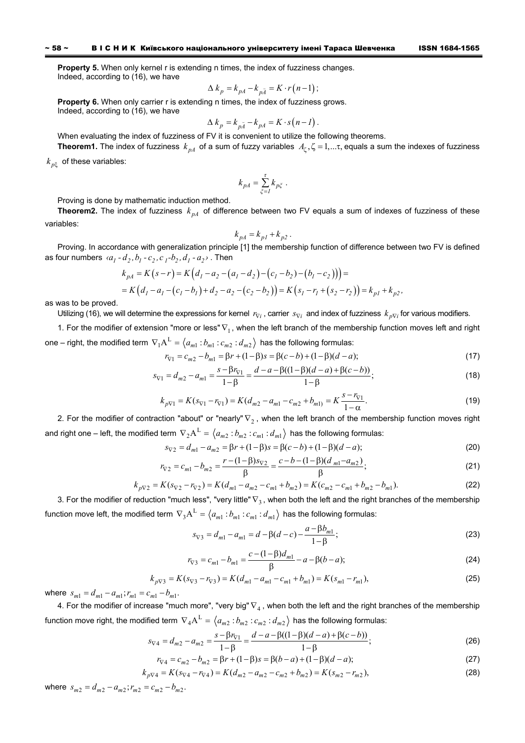**Property 5.** When only kernel r is extending n times, the index of fuzziness changes. Indeed, according to (16), we have

$$
\Delta k_p = k_{pA} - k_{p\bar{A}} = K \cdot r(n-1);
$$

**Property 6.** When only carrier r is extending n times, the index of fuzziness grows. Indeed, according to (16), we have

$$
\Delta k_p = k_{p\bar{A}} - k_{pA} = K \cdot s(n - 1).
$$

When evaluating the index of fuzziness of FV it is convenient to utilize the following theorems.

**Theorem1.** The index of fuzziness  $k_{pA}$  of a sum of fuzzy variables  $A_k, \zeta = 1,...\tau$ , equals a sum the indexes of fuzziness

 $k_{n\zeta}$  of these variables:

$$
k_{pA} = \sum_{\xi=I}^{\tau} k_{p\xi} \ .
$$

Proving is done by mathematic induction method.

**Theorem2.** The index of fuzziness  $k_{nA}$  of difference between two FV equals a sum of indexes of fuzziness of these variables:

$$
k_{pA} = k_{pI} + k_{p2}.
$$

Proving. In accordance with generalization principle [1] the membership function of difference between two FV is defined as four numbers  $\langle a_1 - d_2, b_1 - c_2, c_1 - b_2, d_1 - a_2 \rangle$ . Then

$$
k_{pA} = K(s-r) = K(d_1 - a_2 - (a_1 - d_2) - (c_1 - b_2) - (b_1 - c_2))) =
$$
  
=  $K(d_1 - a_1 - (c_1 - b_1) + d_2 - a_2 - (c_2 - b_2)) = K(s_1 - r_1 + (s_2 - r_2)) = k_{pI} + k_{p2}$ 

as was to be proved.

Utilizing (16), we will determine the expressions for kernel  $r_{\nabla i}$ , carrier  $s_{\nabla i}$  and index of fuzziness  $k_{\nabla i}$  for various modifiers.

1. For the modifier of extension "more or less"  $\nabla_1$ , when the left branch of the membership function moves left and right one – right, the modified term  $\nabla_1 A^L = \langle a_{m1} : b_{m1} : c_{m2} : d_{m2} \rangle$  has the following formulas:

$$
r_{\nabla 1} = c_{m2} - b_{m1} = \beta r + (1 - \beta)s = \beta(c - b) + (1 - \beta)(d - a); \tag{17}
$$

$$
s_{\nabla 1} = d_{m2} - a_{m1} = \frac{s - \beta r_{\nabla 1}}{1 - \beta} = \frac{d - a - \beta((1 - \beta)(d - a) + \beta(c - b))}{1 - \beta};
$$
\n(18)

$$
k_{p\nabla 1} = K(s_{\nabla 1} - r_{\nabla 1}) = K(d_{m2} - a_{m1} - c_{m2} + b_{m1}) = K \frac{s - r_{\nabla 1}}{1 - \alpha}.
$$
\n(19)

2. For the modifier of contraction "about" or "nearly"  $\nabla$ <sub>2</sub>, when the left branch of the membership function moves right and right one – left, the modified term  $\nabla_2 A^L = \langle a_{m2} : b_{m2} : c_{m1} : d_{m1} \rangle$  has the following formulas:

$$
s_{\nabla 2} = d_{m1} - a_{m2} = \beta r + (1 - \beta)s = \beta(c - b) + (1 - \beta)(d - a);
$$
\n
$$
r = (1 - \beta)s \qquad c - b = (1 - \beta)(d - a)
$$
\n(20)

$$
r_{\nabla 2} = c_{m1} - b_{m2} = \frac{r - (1 - \beta)s_{\nabla 2}}{\beta} = \frac{c - b - (1 - \beta)(d_{m1} - a_{m2})}{\beta};
$$
\n(21)

$$
k_{p\nabla 2} = K(s_{\nabla 2} - r_{\nabla 2}) = K(d_{m1} - a_{m2} - c_{m1} + b_{m2}) = K(c_{m2} - c_{m1} + b_{m2} - b_{m1}).
$$
\n(22)

3. For the modifier of reduction "much less", "very little"  $\nabla_3$ , when both the left and the right branches of the membership function move left, the modified term  $\nabla_3 A^L = \langle a_{m1} : b_{m1} : c_{m1} : d_{m1} \rangle$  has the following formulas:

$$
s_{\nabla 3} = d_{m1} - a_{m1} = d - \beta(d - c) - \frac{a - \beta b_{m1}}{1 - \beta};
$$
\n(23)

$$
r_{\nabla 3} = c_{m1} - b_{m1} = \frac{c - (1 - \beta)d_{m1}}{\beta} - a - \beta(b - a); \tag{24}
$$

$$
k_{p\nabla 3} = K(s_{\nabla 3} - r_{\nabla 3}) = K(d_{m1} - a_{m1} - c_{m1} + b_{m1}) = K(s_{m1} - r_{m1}),
$$
\n(25)

where  $s_{m1} = d_{m1} - a_{m1}$ ;  $r_{m1} = c_{m1} - b_{m1}$ .

4. For the modifier of increase "much more", "very big"  $\nabla_4$ , when both the left and the right branches of the membership function move right, the modified term  $\nabla_4 A^L = \langle a_{m2} : b_{m2} : c_{m2} : d_{m2} \rangle$  has the following formulas:

$$
s_{\nabla 4} = d_{m2} - a_{m2} = \frac{s - \beta r_{\nabla 1}}{1 - \beta} = \frac{d - a - \beta((1 - \beta)(d - a) + \beta(c - b))}{1 - \beta};
$$
\n(26)

$$
r_{\nabla 4} = c_{m2} - b_{m2} = \beta r + (1 - \beta)s = \beta(b - a) + (1 - \beta)(d - a); \tag{27}
$$

$$
k_{p\triangledown 4} = K(s_{\triangledown 4} - r_{\triangledown 4}) = K(d_{m2} - a_{m2} - c_{m2} + b_{m2}) = K(s_{m2} - r_{m2}),
$$
\n(28)

where  $s_{m2} = d_{m2} - a_{m2}$ ;  $r_{m2} = c_{m2} - b_{m2}$ .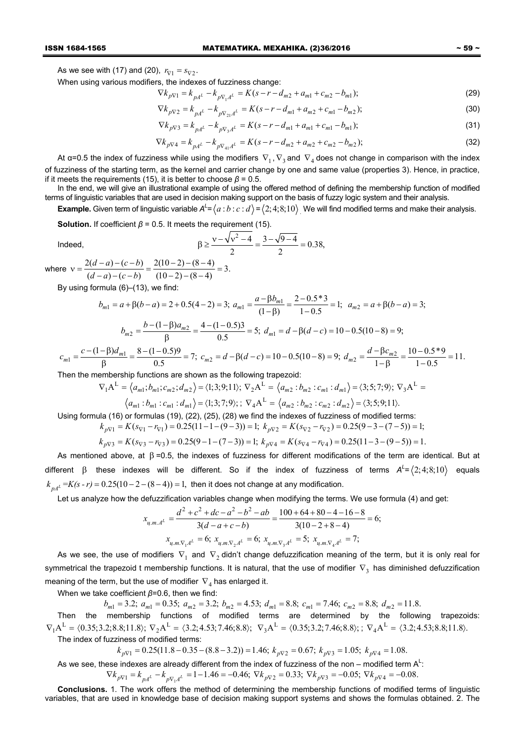As we see with (17) and (20),  $r_{\nabla 1} = s_{\nabla 2}$ .

When using various modifiers, the indexes of fuzziness change:

$$
\nabla k_{p\nabla 1} = k_{pA^L} - k_{p\nabla_1 A^L} = K(s - r - d_{m2} + a_{m1} + c_{m2} - b_{m1});\tag{29}
$$

$$
\nabla k_{p\nabla 2} = k_{pA^{L}} - k_{p\nabla_{21}A^{L}} = K(s - r - d_{m1} + a_{m2} + c_{m1} - b_{m2});
$$
\n(30)

$$
\nabla k_{p\nabla 3} = k_{pA^{L}} - k_{p\nabla_3 A^{L}} = K(s - r - d_{m1} + a_{m1} + c_{m1} - b_{m1});
$$
\n(31)

$$
\nabla k_{p\nabla 4} = k_{pA} - k_{p\nabla_{41}A} = K(s - r - d_{m2} + a_{m2} + c_{m2} - b_{m2});
$$
\n(32)

At α=0.5 the index of fuzziness while using the modifiers  $\nabla_1$ ,  $\nabla_3$  and  $\nabla_4$  does not change in comparison with the index of fuzziness of the starting term, as the kernel and carrier change by one and same value (properties 3). Hence, in practice, if it meets the requirements (15), it is better to choose  $\beta$  = 0.5.

In the end, we will give an illustrational example of using the offered method of defining the membership function of modified terms of linguistic variables that are used in decision making support on the basis of fuzzy logic system and their analysis.

**Example.** Given term of linguistic variable  $A^L = \langle a:b:c:d\rangle = \langle 2;4;8;10\rangle$  We will find modified terms and make their analysis.

**Solution.** If coefficient  $\beta$  = 0.5. It meets the requirement (15).

Indeed, 
$$
\beta \ge \frac{v - \sqrt{v^2 - 4}}{2} = \frac{3 - \sqrt{9 - 4}}{2} = 0.38,
$$

where  $v = \frac{2(d-a)-(c-b)}{(d-a)-(c-b)} = \frac{2(10-2)-(8-4)}{(10-2)-(8-4)} = 3.$  $d-a)-(c-b)$  $v = \frac{2(d-a)-(c-b)}{(d-a)-(c-b)} = \frac{2(10-2)-(8-4)}{(10-2)-(8-4)} = 3.$ 

By using formula (6)–(13), we find:

*c*

$$
b_{m1} = a + \beta(b - a) = 2 + 0.5(4 - 2) = 3; \ a_{m1} = \frac{a - \beta b_{m1}}{(1 - \beta)} = \frac{2 - 0.5 \times 3}{1 - 0.5} = 1; \ a_{m2} = a + \beta(b - a) = 3; b_{m2} = \frac{b - (1 - \beta)a_{m2}}{\beta} = \frac{4 - (1 - 0.5)3}{0.5} = 5; \ d_{m1} = d - \beta(d - c) = 10 - 0.5(10 - 8) = 9;
$$

$$
c_{m1} = \frac{c - (1 - \beta)d_{m1}}{\beta} = \frac{8 - (1 - 0.5)9}{0.5} = 7; \ c_{m2} = d - \beta(d - c) = 10 - 0.5(10 - 8) = 9; \ d_{m2} = \frac{d - \beta c_{m2}}{1 - \beta} = \frac{10 - 0.5^*9}{1 - 0.5} = 11.
$$

Then the membership functions are shown as the following trapezoid:

$$
\nabla_1 \mathbf{A}^{\mathbf{L}} = \langle a_{m1}; b_{m1}; c_{m2}; d_{m2} \rangle = \langle 1; 3; 9; 11 \rangle; \ \nabla_2 \mathbf{A}^{\mathbf{L}} = \langle a_{m2}: b_{m2}: c_{m1}: d_{m1} \rangle = \langle 3; 5; 7; 9 \rangle; \ \nabla_3 \mathbf{A}^{\mathbf{L}} = \langle a_{m1}: b_{m1}: c_{m1}: d_{m1} \rangle = \langle 1; 3; 7; 9 \rangle; \ \nabla_4 \mathbf{A}^{\mathbf{L}} = \langle a_{m2}: b_{m2}: c_{m2}: d_{m2} \rangle = \langle 3; 5; 9; 11 \rangle.
$$

Using formula (16) or formulas (19), (22), (25), (28) we find the indexes of fuzziness of modified terms:

 $k_{pV1} = K(s_{V1} - r_{V1}) = 0.25(11 - 1 - (9 - 3)) = 1;$   $k_{pV2} = K(s_{V2} - r_{V2}) = 0.25(9 - 3 - (7 - 5)) = 1;$ 

$$
k_{p\nabla3} = K(s_{\nabla3} - r_{\nabla3}) = 0.25(9 - 1 - (7 - 3)) = 1; k_{p\nabla4} = K(s_{\nabla4} - r_{\nabla4}) = 0.25(11 - 3 - (9 - 5)) = 1.
$$

As mentioned above, at  $\beta$  =0.5, the indexes of fuzziness for different modifications of the term are identical. But at different β these indexes will be different. So if the index of fuzziness of terms  $A^L = \langle 2; 4; 8; 10 \rangle$  equals  $k_{nA} = K(s-r) = 0.25(10-2-(8-4)) = 1$ , then it does not change at any modification.

Let us analyze how the defuzzification variables change when modifying the terms. We use formula (4) and get:

$$
x_{u,m,A^L} = \frac{d^2 + c^2 + dc - a^2 - b^2 - ab}{3(d - a + c - b)} = \frac{100 + 64 + 80 - 4 - 16 - 8}{3(10 - 2 + 8 - 4)} = 6;
$$
  

$$
x_{u,m,\nabla_1 A^L} = 6; x_{u,m,\nabla_2 A^L} = 6; x_{u,m,\nabla_3 A^L} = 5; x_{u,m,\nabla_4 A^L} = 7;
$$

As we see, the use of modifiers  $\nabla_1$  and  $\nabla_2$  didn't change defuzzification meaning of the term, but it is only real for symmetrical the trapezoid t membership functions. It is natural, that the use of modifier  $\nabla_3$  has diminished defuzzification meaning of the term, but the use of modifier  $\nabla_4$  has enlarged it.

When we take coefficient *β*=0.6, then we find:

 $b_{m1} = 3.2$ ;  $a_{m1} = 0.35$ ;  $a_{m2} = 3.2$ ;  $b_{m2} = 4.53$ ;  $d_{m1} = 8.8$ ;  $c_{m1} = 7.46$ ;  $c_{m2} = 8.8$ ;  $d_{m2} = 11.8$ .

Then the membership functions of modified terms are determined by the following trapezoids:  $\nabla_1 A^L = \langle 0.35; 3.2; 8.8; 11.8 \rangle; \nabla_2 A^L = \langle 3.2; 4.53; 7.46; 8.8 \rangle; \nabla_3 A^L = \langle 0.35; 3.2; 7.46; 8.8 \rangle; \nabla_4 A^L = \langle 3.2; 4.53; 8.8; 11.8 \rangle.$ 

The index of fuzziness of modified terms:

 $k_{pV1} = 0.25(11.8 - 0.35 - (8.8 - 3.2)) = 1.46; k_{pV2} = 0.67; k_{pV3} = 1.05; k_{pV4} = 1.08.$ 

As we see, these indexes are already different from the index of fuzziness of the non – modified term  $\mathsf{A}^\mathsf{L}\text{:}$  $\nabla k_{pV1} = k_{pA^L} - k_{p\nabla A^L} = 1 - 1.46 = -0.46$ ;  $\nabla k_{pV2} = 0.33$ ;  $\nabla k_{pV3} = -0.05$ ;  $\nabla k_{pV4} = -0.08$ .

**Conclusions.** 1. The work offers the method of determining the membership functions of modified terms of linguistic variables, that are used in knowledge base of decision making support systems and shows the formulas obtained. 2. The